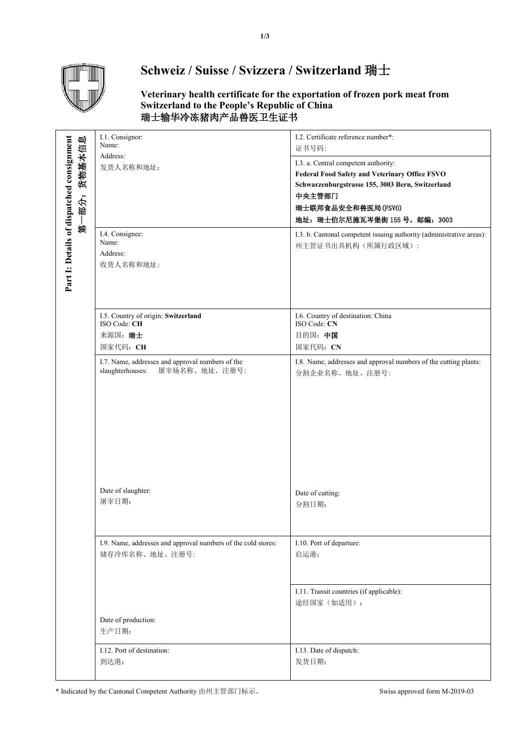

## **Schweiz / Suisse / Svizzera / Switzerland** 瑞士

**Veterinary health certificate for the exportation of frozen pork meat from Switzerland to the People's Republic of China** 瑞士输华冷冻猪肉产品兽医卫生证书

|                                                              | I.1. Consignor:<br>Name:                                                              | I.2. Certificate reference number*:<br>证书号码:                                                                                                                                                                       |  |
|--------------------------------------------------------------|---------------------------------------------------------------------------------------|--------------------------------------------------------------------------------------------------------------------------------------------------------------------------------------------------------------------|--|
| Part 1: Details of dispatched consignment<br>货物基本信息<br>第一部分: | Address:<br>发货人名称和地址:                                                                 | I.3. a. Central competent authority:<br><b>Federal Food Safety and Veterinary Office FSVO</b><br>Schwarzenburgstrasse 155, 3003 Bern, Switzerland<br>中央主管部门<br>瑞士联邦食品安全和兽医局(FSVO)<br>地址: 瑞士伯尔尼施瓦岑堡街 155号, 邮编: 3003 |  |
|                                                              | I.4. Consignee:<br>Name:<br>Address:<br>收货人名称和地址:                                     | I.3. b. Cantonal competent issuing authority (administrative areas):<br>州主管证书出具机构(所属行政区域):                                                                                                                         |  |
|                                                              | I.5. Country of origin: Switzerland<br>ISO Code: CH<br>来源国: 瑞士<br>国家代码: CH            | I.6. Country of destination: China<br>ISO Code: CN<br>目的国:中国<br>国家代码: CN                                                                                                                                           |  |
|                                                              | I.7. Name, addresses and approval numbers of the<br>屠宰场名称、地址、注册号:<br>slaughterhouses: | I.8. Name, addresses and approval numbers of the cutting plants:<br>分割企业名称、地址、注册号:                                                                                                                                 |  |
|                                                              | Date of slaughter:<br>屠宰日期:                                                           | Date of cutting:<br>分割日期:                                                                                                                                                                                          |  |
|                                                              | I.9. Name, addresses and approval numbers of the cold stores:<br>储存冷库名称、地址、注册号:       | I.10. Port of departure:<br>启运港:                                                                                                                                                                                   |  |
|                                                              | Date of production:<br>生产日期:                                                          | I.11. Transit countries (if applicable):<br>途经国家(如适用):                                                                                                                                                             |  |
|                                                              | I.12. Port of destination:                                                            | I.13. Date of dispatch:                                                                                                                                                                                            |  |
|                                                              | 到达港:                                                                                  | 发货日期:                                                                                                                                                                                                              |  |

\* Indicated by the Cantonal Competent Authority 由州主管部门标示。 Swiss approved form M-2019-03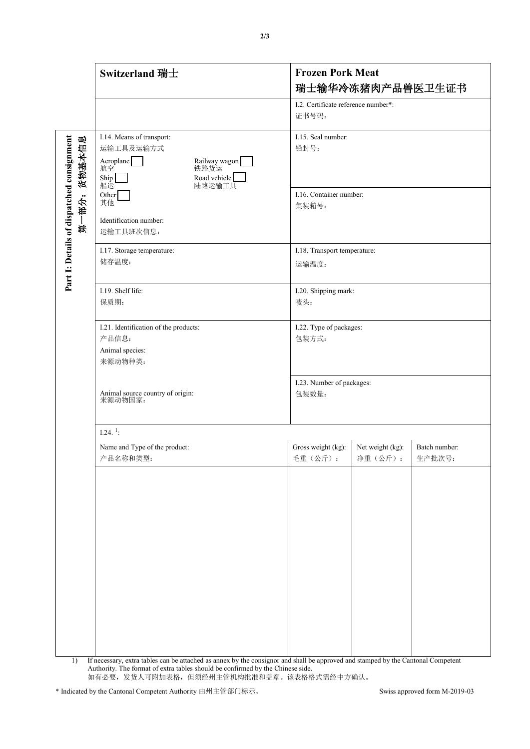|                                                                    | <b>Switzerland 瑞士</b>                                                                                                                                                                 | <b>Frozen Pork Meat</b><br>瑞士输华冷冻猪肉产品兽医卫生证书                                               |
|--------------------------------------------------------------------|---------------------------------------------------------------------------------------------------------------------------------------------------------------------------------------|-------------------------------------------------------------------------------------------|
|                                                                    |                                                                                                                                                                                       | I.2. Certificate reference number*:<br>证书号码:                                              |
| Part I: Details of dispatched consignment<br>酿<br>货物基本信<br>部分<br>鈱 | I.14. Means of transport:<br>运输工具及运输方式<br>Aeroplane<br>航空<br>Railway wagon <sup>[</sup><br>Ship<br>Road vehicle<br>船运<br>陆路运输工具<br>Other<br>其他<br>Identification number:<br>运输工具班次信息: | I.15. Seal number:<br>铅封号:<br>I.16. Container number:<br>集装箱号:                            |
|                                                                    | I.17. Storage temperature:<br>储存温度:                                                                                                                                                   | I.18. Transport temperature:<br>运输温度:                                                     |
|                                                                    | I.19. Shelf life:<br>保质期:                                                                                                                                                             | I.20. Shipping mark:<br>唛头:                                                               |
|                                                                    | I.21. Identification of the products:<br>产品信息:<br>Animal species:<br>来源动物种类:                                                                                                          | I.22. Type of packages:<br>包装方式:                                                          |
|                                                                    | Animal source country of origin:<br>来源动物国家:                                                                                                                                           | I.23. Number of packages:<br>包装数量:                                                        |
|                                                                    | $1.24.$ <sup>1</sup> :                                                                                                                                                                |                                                                                           |
|                                                                    | Name and Type of the product:<br>产品名称和类型:                                                                                                                                             | Gross weight (kg):<br>Net weight (kg):<br>Batch number:<br>净重(公斤):<br>生产批次号:<br>毛重 (公斤) : |
| 1)                                                                 | If necessary, extra tables can be attached as annex by the consignor and shall be approved and stamped by the Cantonal Competent                                                      |                                                                                           |

Authority. The format of extra tables should be confirmed by the Chinese side. 如有必要,发货人可附加表格,但须经州主管机构批准和盖章。该表格格式需经中方确认。